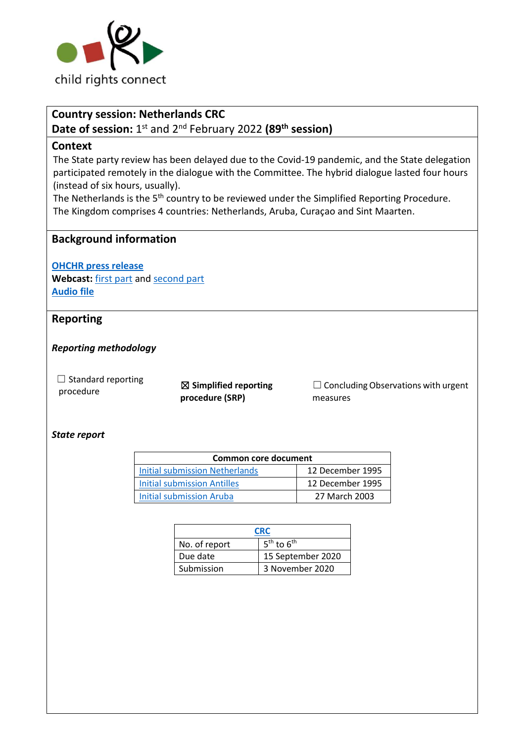

# **Country session: Netherlands CRC**

**Date of session:** 1<sup>st</sup> and 2<sup>nd</sup> February 2022 (89<sup>th</sup> session)

## **Context**

The State party review has been delayed due to the Covid-19 pandemic, and the State delegation participated remotely in the dialogue with the Committee. The hybrid dialogue lasted four hours (instead of six hours, usually).

The Netherlands is the 5<sup>th</sup> country to be reviewed under the Simplified Reporting Procedure. The Kingdom comprises 4 countries: Netherlands, Aruba, Curaçao and Sint Maarten.

# **Background information**

**[OHCHR press release](https://www.ohchr.org/EN/NewsEvents/Pages/DisplayNews.aspx?NewsID=28079&LangID=E)**

**Webcast:** [first part](https://media.un.org/en/asset/k1w/k1w17f1p81) and [second part](https://media.un.org/en/asset/k1r/k1rvbc3r65) **[Audio file](https://conf.unog.ch/digitalrecordings/)**

# **Reporting**

*Reporting methodology*

 $\Box$  Standard reporting

□ Standard reporting<br>procedure **and Simplified reporting procedure (SRP)**

 $\Box$  Concluding Observations with urgent measures

## *State report*

| <b>Common core document</b>    |                  |  |
|--------------------------------|------------------|--|
| Initial submission Netherlands | 12 December 1995 |  |
| Initial submission Antilles    | 12 December 1995 |  |
| Initial submission Aruba       | 27 March 2003    |  |

| <b>CRC</b>    |                   |  |
|---------------|-------------------|--|
| No. of report | $5th$ to $6th$    |  |
| Due date      | 15 September 2020 |  |
| Submission    | 3 November 2020   |  |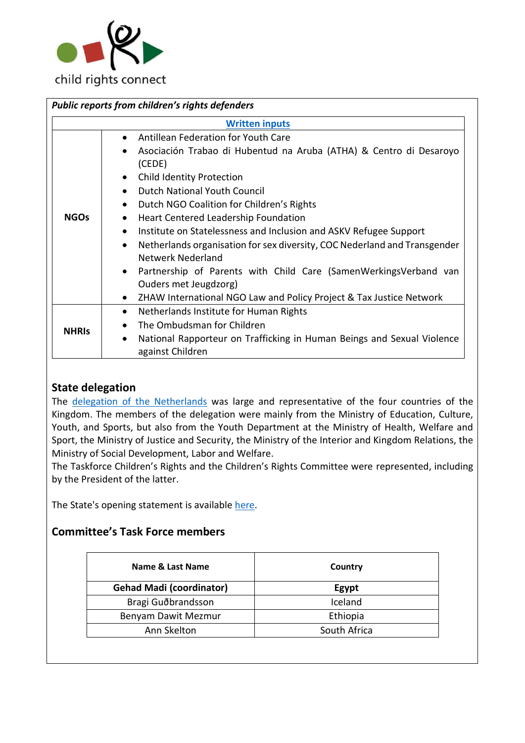

| Public reports from children's rights defenders |                                                                                                                                                                                                                                                                                                                                                                                                                                                                                                                                                                                                                                                                                                               |  |  |  |
|-------------------------------------------------|---------------------------------------------------------------------------------------------------------------------------------------------------------------------------------------------------------------------------------------------------------------------------------------------------------------------------------------------------------------------------------------------------------------------------------------------------------------------------------------------------------------------------------------------------------------------------------------------------------------------------------------------------------------------------------------------------------------|--|--|--|
| <b>Written inputs</b>                           |                                                                                                                                                                                                                                                                                                                                                                                                                                                                                                                                                                                                                                                                                                               |  |  |  |
| <b>NGOs</b>                                     | Antillean Federation for Youth Care<br>$\bullet$<br>Asociación Trabao di Hubentud na Aruba (ATHA) & Centro di Desaroyo<br>(CEDE)<br>• Child Identity Protection<br>Dutch National Youth Council<br>$\bullet$<br>Dutch NGO Coalition for Children's Rights<br>$\bullet$<br>Heart Centered Leadership Foundation<br>$\bullet$<br>Institute on Statelessness and Inclusion and ASKV Refugee Support<br>$\bullet$<br>Netherlands organisation for sex diversity, COC Nederland and Transgender<br>$\bullet$<br>Netwerk Nederland<br>Partnership of Parents with Child Care (SamenWerkingsVerband van<br>Ouders met Jeugdzorg)<br>ZHAW International NGO Law and Policy Project & Tax Justice Network<br>$\bullet$ |  |  |  |
| <b>NHRIS</b>                                    | Netherlands Institute for Human Rights<br>$\bullet$<br>The Ombudsman for Children<br>National Rapporteur on Trafficking in Human Beings and Sexual Violence<br>$\bullet$<br>against Children                                                                                                                                                                                                                                                                                                                                                                                                                                                                                                                  |  |  |  |

# **State delegation**

The [delegation of](https://tbinternet.ohchr.org/_layouts/15/treatybodyexternal/Download.aspx?symbolno=INT%2fCRC%2fLOP%2fNLD%2f47635&Lang=en) the Netherlands was large and representative of the four countries of the Kingdom. The members of the delegation were mainly from the Ministry of Education, Culture, Youth, and Sports, but also from the Youth Department at the Ministry of Health, Welfare and Sport, the Ministry of Justice and Security, the Ministry of the Interior and Kingdom Relations, the Ministry of Social Development, Labor and Welfare.

The Taskforce Children's Rights and the Children's Rights Committee were represented, including by the President of the latter.

The State's opening statement is available [here.](https://tbinternet.ohchr.org/_layouts/15/treatybodyexternal/SessionDetails1.aspx?SessionID=1400&Lang=en)

# **Committee's Task Force members**

| Name & Last Name                | Country      |
|---------------------------------|--------------|
| <b>Gehad Madi (coordinator)</b> | Egypt        |
| Bragi Guðbrandsson              | Iceland      |
| Benyam Dawit Mezmur             | Ethiopia     |
| Ann Skelton                     | South Africa |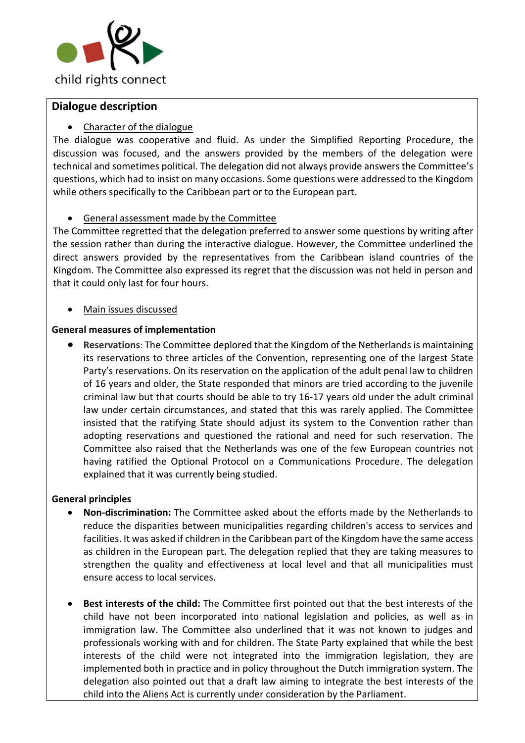

## **Dialogue description**

## • Character of the dialogue

The dialogue was cooperative and fluid. As under the Simplified Reporting Procedure, the discussion was focused, and the answers provided by the members of the delegation were technical and sometimes political. The delegation did not always provide answers the Committee's questions, which had to insist on many occasions. Some questions were addressed to the Kingdom while others specifically to the Caribbean part or to the European part.

## • General assessment made by the Committee

The Committee regretted that the delegation preferred to answer some questions by writing after the session rather than during the interactive dialogue. However, the Committee underlined the direct answers provided by the representatives from the Caribbean island countries of the Kingdom. The Committee also expressed its regret that the discussion was not held in person and that it could only last for four hours.

## • Main issues discussed

## **General measures of implementation**

• **Reservations**: The Committee deplored that the Kingdom of the Netherlands is maintaining its reservations to three articles of the Convention, representing one of the largest State Party's reservations. On its reservation on the application of the adult penal law to children of 16 years and older, the State responded that minors are tried according to the juvenile criminal law but that courts should be able to try 16-17 years old under the adult criminal law under certain circumstances, and stated that this was rarely applied. The Committee insisted that the ratifying State should adjust its system to the Convention rather than adopting reservations and questioned the rational and need for such reservation. The Committee also raised that the Netherlands was one of the few European countries not having ratified the Optional Protocol on a Communications Procedure. The delegation explained that it was currently being studied.

## **General principles**

- **Non-discrimination:** The Committee asked about the efforts made by the Netherlands to reduce the disparities between municipalities regarding children's access to services and facilities. It was asked if children in the Caribbean part of the Kingdom have the same access as children in the European part. The delegation replied that they are taking measures to strengthen the quality and effectiveness at local level and that all municipalities must ensure access to local services.
- **Best interests of the child:** The Committee first pointed out that the best interests of the child have not been incorporated into national legislation and policies, as well as in immigration law. The Committee also underlined that it was not known to judges and professionals working with and for children. The State Party explained that while the best interests of the child were not integrated into the immigration legislation, they are implemented both in practice and in policy throughout the Dutch immigration system. The delegation also pointed out that a draft law aiming to integrate the best interests of the child into the Aliens Act is currently under consideration by the Parliament.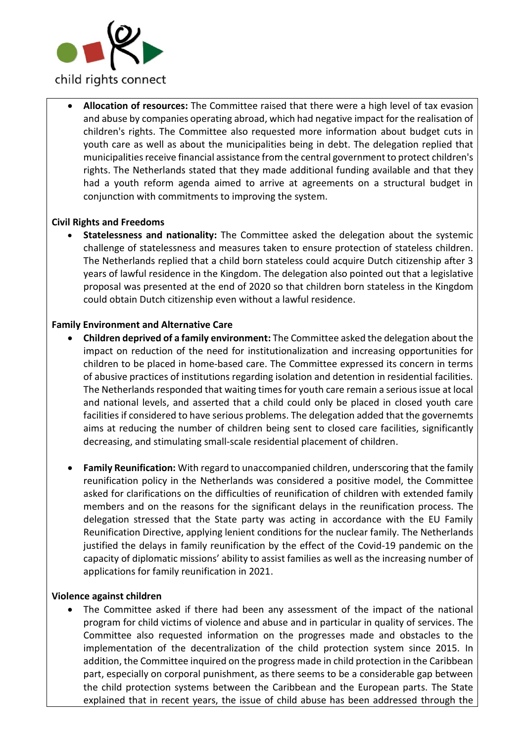

• **Allocation of resources:** The Committee raised that there were a high level of tax evasion and abuse by companies operating abroad, which had negative impact for the realisation of children's rights. The Committee also requested more information about budget cuts in youth care as well as about the municipalities being in debt. The delegation replied that municipalities receive financial assistance from the central government to protect children's rights. The Netherlands stated that they made additional funding available and that they had a youth reform agenda aimed to arrive at agreements on a structural budget in conjunction with commitments to improving the system.

#### **Civil Rights and Freedoms**

• **Statelessness and nationality:** The Committee asked the delegation about the systemic challenge of statelessness and measures taken to ensure protection of stateless children. The Netherlands replied that a child born stateless could acquire Dutch citizenship after 3 years of lawful residence in the Kingdom. The delegation also pointed out that a legislative proposal was presented at the end of 2020 so that children born stateless in the Kingdom could obtain Dutch citizenship even without a lawful residence.

#### **Family Environment and Alternative Care**

- **Children deprived of a family environment:** The Committee asked the delegation about the impact on reduction of the need for institutionalization and increasing opportunities for children to be placed in home-based care. The Committee expressed its concern in terms of abusive practices of institutions regarding isolation and detention in residential facilities. The Netherlands responded that waiting times for youth care remain a serious issue at local and national levels, and asserted that a child could only be placed in closed youth care facilities if considered to have serious problems. The delegation added that the governemts aims at reducing the number of children being sent to closed care facilities, significantly decreasing, and stimulating small-scale residential placement of children.
- **Family Reunification:** With regard to unaccompanied children, underscoring that the family reunification policy in the Netherlands was considered a positive model, the Committee asked for clarifications on the difficulties of reunification of children with extended family members and on the reasons for the significant delays in the reunification process. The delegation stressed that the State party was acting in accordance with the EU Family Reunification Directive, applying lenient conditions for the nuclear family. The Netherlands justified the delays in family reunification by the effect of the Covid-19 pandemic on the capacity of diplomatic missions' ability to assist families as well as the increasing number of applications for family reunification in 2021.

#### **Violence against children**

• The Committee asked if there had been any assessment of the impact of the national program for child victims of violence and abuse and in particular in quality of services. The Committee also requested information on the progresses made and obstacles to the implementation of the decentralization of the child protection system since 2015. In addition, the Committee inquired on the progress made in child protection in the Caribbean part, especially on corporal punishment, as there seems to be a considerable gap between the child protection systems between the Caribbean and the European parts. The State explained that in recent years, the issue of child abuse has been addressed through the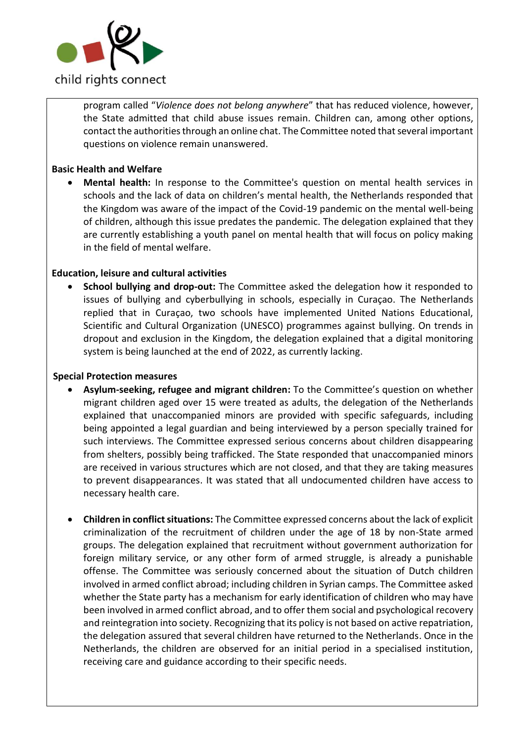

program called "*Violence does not belong anywhere*" that has reduced violence, however, the State admitted that child abuse issues remain. Children can, among other options, contact the authorities through an online chat. The Committee noted that several important questions on violence remain unanswered.

## **Basic Health and Welfare**

• **Mental health:** In response to the Committee's question on mental health services in schools and the lack of data on children's mental health, the Netherlands responded that the Kingdom was aware of the impact of the Covid-19 pandemic on the mental well-being of children, although this issue predates the pandemic. The delegation explained that they are currently establishing a youth panel on mental health that will focus on policy making in the field of mental welfare.

## **Education, leisure and cultural activities**

• **School bullying and drop-out:** The Committee asked the delegation how it responded to issues of bullying and cyberbullying in schools, especially in Curaçao. The Netherlands replied that in Curaçao, two schools have implemented United Nations Educational, Scientific and Cultural Organization (UNESCO) programmes against bullying. On trends in dropout and exclusion in the Kingdom, the delegation explained that a digital monitoring system is being launched at the end of 2022, as currently lacking.

#### **Special Protection measures**

- **Asylum-seeking, refugee and migrant children:** To the Committee's question on whether migrant children aged over 15 were treated as adults, the delegation of the Netherlands explained that unaccompanied minors are provided with specific safeguards, including being appointed a legal guardian and being interviewed by a person specially trained for such interviews. The Committee expressed serious concerns about children disappearing from shelters, possibly being trafficked. The State responded that unaccompanied minors are received in various structures which are not closed, and that they are taking measures to prevent disappearances. It was stated that all undocumented children have access to necessary health care.
- **Children in conflict situations:** The Committee expressed concerns about the lack of explicit criminalization of the recruitment of children under the age of 18 by non-State armed groups. The delegation explained that recruitment without government authorization for foreign military service, or any other form of armed struggle, is already a punishable offense. The Committee was seriously concerned about the situation of Dutch children involved in armed conflict abroad; including children in Syrian camps. The Committee asked whether the State party has a mechanism for early identification of children who may have been involved in armed conflict abroad, and to offer them social and psychological recovery and reintegration into society. Recognizing that its policy is not based on active repatriation, the delegation assured that several children have returned to the Netherlands. Once in the Netherlands, the children are observed for an initial period in a specialised institution, receiving care and guidance according to their specific needs.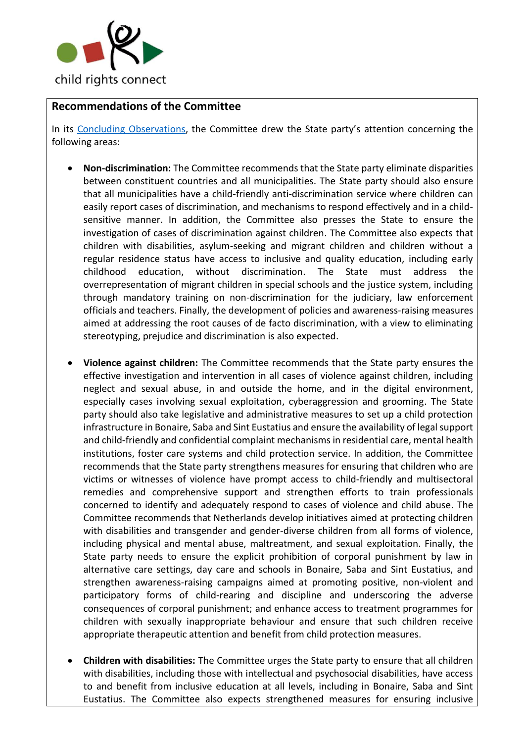

# **Recommendations of the Committee**

In its [Concluding Observations,](https://tbinternet.ohchr.org/_layouts/15/treatybodyexternal/Download.aspx?symbolno=CRC%2fC%2fNLD%2fCO%2f5-6&Lang=en) the Committee drew the State party's attention concerning the following areas:

- **Non-discrimination:** The Committee recommends that the State party eliminate disparities between constituent countries and all municipalities. The State party should also ensure that all municipalities have a child-friendly anti-discrimination service where children can easily report cases of discrimination, and mechanisms to respond effectively and in a childsensitive manner. In addition, the Committee also presses the State to ensure the investigation of cases of discrimination against children. The Committee also expects that children with disabilities, asylum-seeking and migrant children and children without a regular residence status have access to inclusive and quality education, including early childhood education, without discrimination. The State must address the overrepresentation of migrant children in special schools and the justice system, including through mandatory training on non-discrimination for the judiciary, law enforcement officials and teachers. Finally, the development of policies and awareness-raising measures aimed at addressing the root causes of de facto discrimination, with a view to eliminating stereotyping, prejudice and discrimination is also expected.
- **Violence against children:** The Committee recommends that the State party ensures the effective investigation and intervention in all cases of violence against children, including neglect and sexual abuse, in and outside the home, and in the digital environment, especially cases involving sexual exploitation, cyberaggression and grooming. The State party should also take legislative and administrative measures to set up a child protection infrastructure in Bonaire, Saba and Sint Eustatius and ensure the availability of legal support and child-friendly and confidential complaint mechanisms in residential care, mental health institutions, foster care systems and child protection service. In addition, the Committee recommends that the State party strengthens measures for ensuring that children who are victims or witnesses of violence have prompt access to child-friendly and multisectoral remedies and comprehensive support and strengthen efforts to train professionals concerned to identify and adequately respond to cases of violence and child abuse. The Committee recommends that Netherlands develop initiatives aimed at protecting children with disabilities and transgender and gender-diverse children from all forms of violence, including physical and mental abuse, maltreatment, and sexual exploitation. Finally, the State party needs to ensure the explicit prohibition of corporal punishment by law in alternative care settings, day care and schools in Bonaire, Saba and Sint Eustatius, and strengthen awareness-raising campaigns aimed at promoting positive, non-violent and participatory forms of child-rearing and discipline and underscoring the adverse consequences of corporal punishment; and enhance access to treatment programmes for children with sexually inappropriate behaviour and ensure that such children receive appropriate therapeutic attention and benefit from child protection measures.
- **Children with disabilities:** The Committee urges the State party to ensure that all children with disabilities, including those with intellectual and psychosocial disabilities, have access to and benefit from inclusive education at all levels, including in Bonaire, Saba and Sint Eustatius. The Committee also expects strengthened measures for ensuring inclusive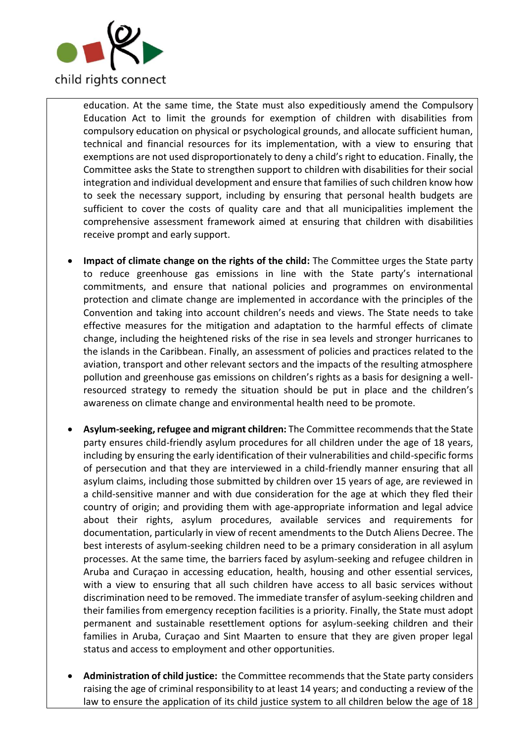

education. At the same time, the State must also expeditiously amend the Compulsory Education Act to limit the grounds for exemption of children with disabilities from compulsory education on physical or psychological grounds, and allocate sufficient human, technical and financial resources for its implementation, with a view to ensuring that exemptions are not used disproportionately to deny a child's right to education. Finally, the Committee asks the State to strengthen support to children with disabilities for their social integration and individual development and ensure that families of such children know how to seek the necessary support, including by ensuring that personal health budgets are sufficient to cover the costs of quality care and that all municipalities implement the comprehensive assessment framework aimed at ensuring that children with disabilities receive prompt and early support.

- **Impact of climate change on the rights of the child:** The Committee urges the State party to reduce greenhouse gas emissions in line with the State party's international commitments, and ensure that national policies and programmes on environmental protection and climate change are implemented in accordance with the principles of the Convention and taking into account children's needs and views. The State needs to take effective measures for the mitigation and adaptation to the harmful effects of climate change, including the heightened risks of the rise in sea levels and stronger hurricanes to the islands in the Caribbean. Finally, an assessment of policies and practices related to the aviation, transport and other relevant sectors and the impacts of the resulting atmosphere pollution and greenhouse gas emissions on children's rights as a basis for designing a wellresourced strategy to remedy the situation should be put in place and the children's awareness on climate change and environmental health need to be promote.
- **Asylum-seeking, refugee and migrant children:** The Committee recommends that the State party ensures child-friendly asylum procedures for all children under the age of 18 years, including by ensuring the early identification of their vulnerabilities and child-specific forms of persecution and that they are interviewed in a child-friendly manner ensuring that all asylum claims, including those submitted by children over 15 years of age, are reviewed in a child-sensitive manner and with due consideration for the age at which they fled their country of origin; and providing them with age-appropriate information and legal advice about their rights, asylum procedures, available services and requirements for documentation, particularly in view of recent amendments to the Dutch Aliens Decree. The best interests of asylum-seeking children need to be a primary consideration in all asylum processes. At the same time, the barriers faced by asylum-seeking and refugee children in Aruba and Curaçao in accessing education, health, housing and other essential services, with a view to ensuring that all such children have access to all basic services without discrimination need to be removed. The immediate transfer of asylum-seeking children and their families from emergency reception facilities is a priority. Finally, the State must adopt permanent and sustainable resettlement options for asylum-seeking children and their families in Aruba, Curaçao and Sint Maarten to ensure that they are given proper legal status and access to employment and other opportunities.
- **Administration of child justice:** the Committee recommends that the State party considers raising the age of criminal responsibility to at least 14 years; and conducting a review of the law to ensure the application of its child justice system to all children below the age of 18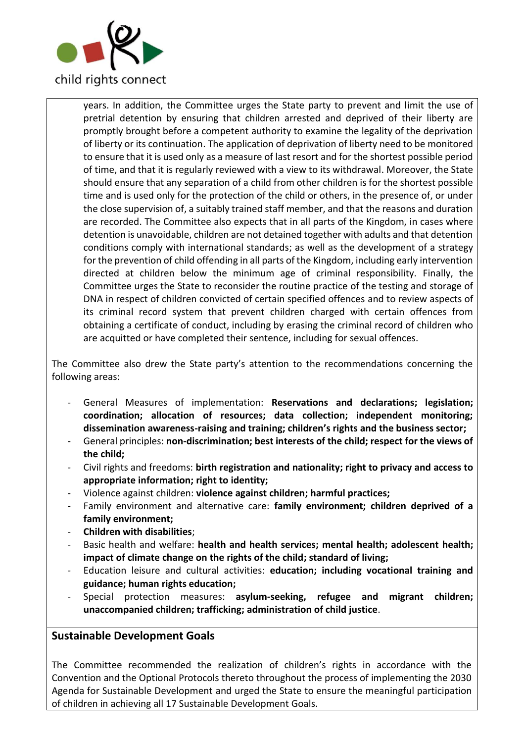

years. In addition, the Committee urges the State party to prevent and limit the use of pretrial detention by ensuring that children arrested and deprived of their liberty are promptly brought before a competent authority to examine the legality of the deprivation of liberty or its continuation. The application of deprivation of liberty need to be monitored to ensure that it is used only as a measure of last resort and for the shortest possible period of time, and that it is regularly reviewed with a view to its withdrawal. Moreover, the State should ensure that any separation of a child from other children is for the shortest possible time and is used only for the protection of the child or others, in the presence of, or under the close supervision of, a suitably trained staff member, and that the reasons and duration are recorded. The Committee also expects that in all parts of the Kingdom, in cases where detention is unavoidable, children are not detained together with adults and that detention conditions comply with international standards; as well as the development of a strategy for the prevention of child offending in all parts of the Kingdom, including early intervention directed at children below the minimum age of criminal responsibility. Finally, the Committee urges the State to reconsider the routine practice of the testing and storage of DNA in respect of children convicted of certain specified offences and to review aspects of its criminal record system that prevent children charged with certain offences from obtaining a certificate of conduct, including by erasing the criminal record of children who are acquitted or have completed their sentence, including for sexual offences.

The Committee also drew the State party's attention to the recommendations concerning the following areas:

- General Measures of implementation: **Reservations and declarations; legislation; coordination; allocation of resources; data collection; independent monitoring; dissemination awareness-raising and training; children's rights and the business sector;**
- General principles: **non-discrimination; best interests of the child; respect for the views of the child;**
- Civil rights and freedoms: **birth registration and nationality; right to privacy and access to appropriate information; right to identity;**
- Violence against children: **violence against children; harmful practices;**
- Family environment and alternative care: **family environment; children deprived of a family environment;**
- **Children with disabilities**;
- Basic health and welfare: **health and health services; mental health; adolescent health; impact of climate change on the rights of the child; standard of living;**
- Education leisure and cultural activities: **education; including vocational training and guidance; human rights education;**
- Special protection measures: **asylum-seeking, refugee and migrant children; unaccompanied children; trafficking; administration of child justice**.

# **Sustainable Development Goals**

The Committee recommended the realization of children's rights in accordance with the Convention and the Optional Protocols thereto throughout the process of implementing the 2030 Agenda for Sustainable Development and urged the State to ensure the meaningful participation of children in achieving all 17 Sustainable Development Goals.